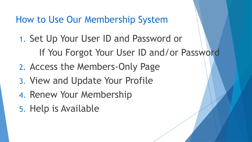How to Use Our Membership System

- 1. Set Up Your User ID and Password or If You Forgot Your User ID and/or Password
- 2. Access the Members-Only Page
- 3. View and Update Your Profile
- 4. Renew Your Membership
- 5. Help is Available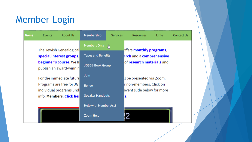# Member Login

| <b>Home</b> | Events                                                                                                                                                                                                                            | About Us | Membership                                           | <b>Services</b> | <b>Resources</b>                                                                                  | Links | Contact Us |
|-------------|-----------------------------------------------------------------------------------------------------------------------------------------------------------------------------------------------------------------------------------|----------|------------------------------------------------------|-----------------|---------------------------------------------------------------------------------------------------|-------|------------|
|             | The Jewish Genealogical<br>special interest groups,<br><b>beginner's course</b> . We h<br>publish an award-winnin<br>For the immediate future<br>Programs are free for JG!<br>individual programs und<br>info. Members: Click her |          | <b>Members Only</b>                                  | ակ              | offers <b>monthly programs</b> ,                                                                  |       |            |
|             |                                                                                                                                                                                                                                   |          | <b>Types and Benefits</b><br><b>JGSGB Book Group</b> |                 | arch and a comprehensive<br>of <b>research materials</b> and                                      |       |            |
|             |                                                                                                                                                                                                                                   |          |                                                      |                 |                                                                                                   |       |            |
|             |                                                                                                                                                                                                                                   |          | <b>Join</b><br>Renew<br><b>Speaker Handouts</b>      |                 | I be presented via Zoom.<br>r non-members. Click on<br>event slide below for more<br>١ <u>s</u> . |       |            |
|             |                                                                                                                                                                                                                                   |          |                                                      |                 |                                                                                                   |       |            |
|             |                                                                                                                                                                                                                                   |          |                                                      |                 |                                                                                                   |       |            |
|             |                                                                                                                                                                                                                                   |          | <b>Help with Member Acct</b>                         |                 |                                                                                                   |       |            |
|             |                                                                                                                                                                                                                                   |          | Zoom Help                                            |                 |                                                                                                   |       |            |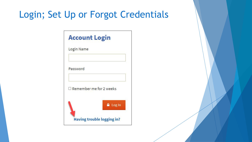## Login; Set Up or Forgot Credentials

| <b>Account Login</b>           |
|--------------------------------|
| Login Name                     |
| Password                       |
| $\Box$ Remember me for 2 weeks |
| $\triangle$ Log In             |
| Having trouble logging in?     |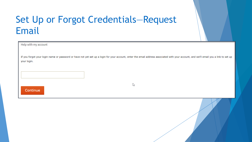### Set Up or Forgot Credentials-Request Email

| Help with my account                                                                                                                                                                                 |    |
|------------------------------------------------------------------------------------------------------------------------------------------------------------------------------------------------------|----|
| If you forgot your login name or password or have not yet set up a login for your account, enter the email address associated with your account, and we'll email you a link to set up<br>your login. |    |
|                                                                                                                                                                                                      |    |
| Continue                                                                                                                                                                                             | hy |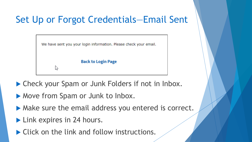## Set Up or Forgot Credentials—Email Sent

We have sent you your login information. Please check your email.

**Back to Login Page** 

▶ Check your Spam or Junk Folders if not in Inbox.

Move from Spam or Junk to Inbox.

- Make sure the email address you entered is correct.
- **Link expires in 24 hours.**

な

▶ Click on the link and follow instructions.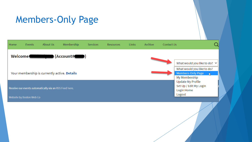### Members-Only Page

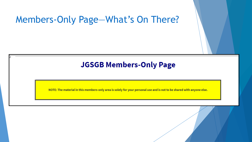### Members-Only Page—What's On There?

### **JGSGB Members-Only Page**

NOTE: The material in this members-only area is solely for your personal use and is not to be shared with anyone else.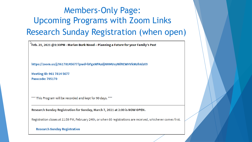### **Members-Only Page: Upcoming Programs with Zoom Links Research Sunday Registration (when open)**

 $\mathrm{``Feb.~21,2021}$  @1:30PM - Marian Burk Wood – Planning a Future for your Family's Past

https://zoom.us/j/96178145677?pwd=bFgxNFAzdjNHMUsyWlRCWHVkNUhIdz09

Meeting ID: 961 7814 5677 **Passcode: 795170** 

\*\*\* This Program will be recorded and kept for 90 days. \*\*\*

Research Sunday Registration for Sunday, March 7, 2021 at 2:00 is NOW OPEN.

Registration closes at 11:59 PM, February 24th, or when 60 registrations are received, whichever comes first.

#### **Research Sunday Registration**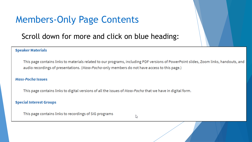## **Members-Only Page Contents**

### Scroll down for more and click on blue heading:

#### **Speaker Materials**

This page contains links to materials related to our programs, including PDF versions of PowerPoint slides, Zoom links, handouts, and audio recordings of presentations. (Mass-Pocha-only members do not have access to this page.)

#### **Mass-Pocha Issues**

This page contains links to digital versions of all the issues of Mass-Pocha that we have in digital form.

**Special Interest Groups** 

This page contains links to recordings of SIG programs

ド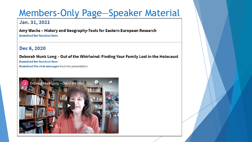### **Members-Only Page-Speaker Material**

#### Jan. 31, 2021

Amy Wachs - History and Geography-Tools for Eastern European Research Download her handout here.

#### Dec 6, 2020

Deborah Munk Long - Out of the Whirlwind: Finding Your Family Lost in the Holocaust Download her handout here.

Download the chat messages from her presentation

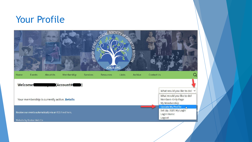### Your Profile

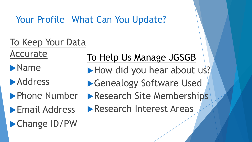### Your Profile—What Can You Update?

# To Keep Your Data

Accurate

- **Name**
- **Address**
- **Phone Number**
- **Email Address**

Change ID/PW

# To Help Us Manage JGSGB

- How did you hear about us?
- ▶Genealogy Software Used
- **Research Site Memberships**
- **Research Interest Areas**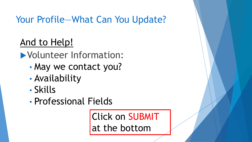# Your Profile—What Can You Update?

# And to Help!

Volunteer Information:

- May we contact you?
- Availability
- Skills
- Professional Fields

Click on SUBMIT at the bottom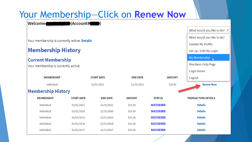| Your Membership-Click on Renew Now           |                            |                   |               |                  |                                   |  |
|----------------------------------------------|----------------------------|-------------------|---------------|------------------|-----------------------------------|--|
| Welcome <b>Communication</b> (Account#       |                            |                   |               |                  |                                   |  |
|                                              |                            |                   |               |                  | What would you like to do? $\vee$ |  |
|                                              | What would you like to do? |                   |               |                  |                                   |  |
| Your membership is currently active. Details | <b>Update My Profile</b>   |                   |               |                  |                                   |  |
| <b>Membership History</b>                    | Set Up / Edit My Login     |                   |               |                  |                                   |  |
| <b>Current Membership</b>                    | My Membership              |                   |               |                  |                                   |  |
| Your Membership is currently active.         | Members-Only Page          |                   |               |                  |                                   |  |
|                                              | Login Home                 |                   |               |                  |                                   |  |
| <b>MEMBERSHIP</b>                            |                            | <b>START DATE</b> |               | <b>AMOUNT</b>    | Logout                            |  |
| Individual                                   | 01/01/2021                 |                   |               | \$35.00          | <b>Renew Now</b>                  |  |
| <b>Membership History</b>                    |                            |                   |               |                  |                                   |  |
| <b>MEMBERSHIP</b>                            | <b>START DATE</b>          | <b>END DATE</b>   | <b>AMOUNT</b> | <b>STATUS</b>    | <b>TRANSACTION DETAILS</b>        |  |
| Individual                                   | 01/01/2021                 | 12/31/2021        | \$35.00       | <b>SUCCEEDED</b> | <b>Details</b>                    |  |
| Individual                                   | 01/01/2020                 | 12/31/2020        | \$25.00       | <b>SUCCEEDED</b> | <b>Details</b>                    |  |
| Individual                                   | 01/01/2019                 | 12/31/2019        | \$25.00       | <b>SUCCEEDED</b> | <b>Details</b>                    |  |
| Individual                                   | 01/01/2018                 | 12/31/2018        | \$25.00       | <b>SUCCEEDED</b> | <b>Details</b>                    |  |
| Individual                                   | 01/01/2017                 | 12/31/2017        | \$25.00       | <b>SUCCEEDED</b> | <b>Details</b>                    |  |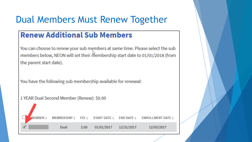### Dual Members Must Renew Together

### **Renew Additional Sub Members**

You can choose to renew your sub members at same time. Please select the sub members below, NEON will set their membership start date to 01/01/2018 (from the parent start date).

You have the following sub membership available for renewal:

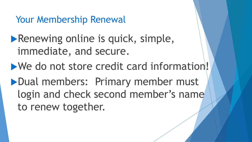Your Membership Renewal

**Renewing online is quick, simple,** immediate, and secure.

We do not store credit card information!

Dual members: Primary member must login and check second member's name to renew together.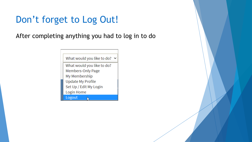## Don't forget to Log Out!

After completing anything you had to log in to do